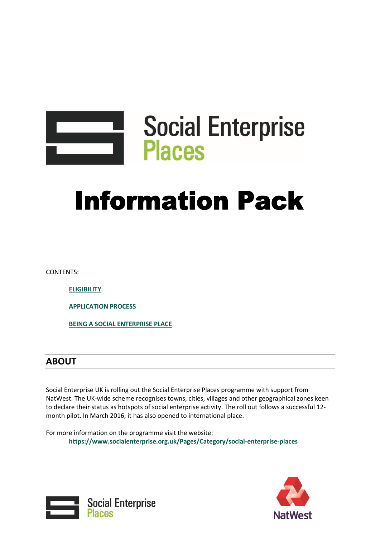

# **Information Pack**

CONTENTS:

**[ELIGIBILITY](#page-1-0)**

**[APPLICATION PROCESS](#page-1-1)**

**[BEING A SOCIAL ENTERPRISE PLACE](#page-4-0)**

## **ABOUT**

Social Enterprise UK is rolling out the Social Enterprise Places programme with support from NatWest. The UK-wide scheme recognises towns, cities, villages and other geographical zones keen to declare their status as hotspots of social enterprise activity. The roll out follows a successful 12 month pilot. In March 2016, it has also opened to international place.

For more information on the programme visit the website: **https://www.socialenterprise.org.uk/Pages/Category/social-enterprise-places** 



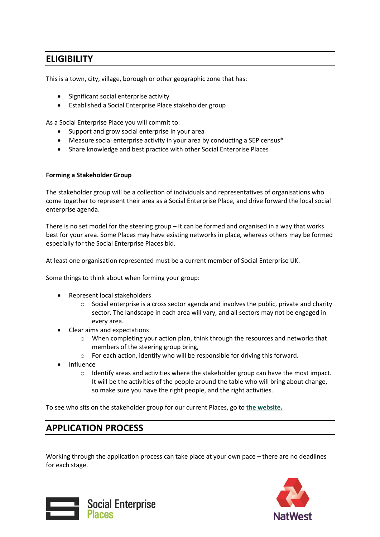## <span id="page-1-0"></span>**ELIGIBILITY**

This is a town, city, village, borough or other geographic zone that has:

- Significant social enterprise activity
- Established a Social Enterprise Place stakeholder group

As a Social Enterprise Place you will commit to:

- Support and grow social enterprise in your area
- Measure social enterprise activity in your area by conducting a SEP census\*
- Share knowledge and best practice with other Social Enterprise Places

#### **Forming a Stakeholder Group**

The stakeholder group will be a collection of individuals and representatives of organisations who come together to represent their area as a Social Enterprise Place, and drive forward the local social enterprise agenda.

There is no set model for the steering group  $-$  it can be formed and organised in a way that works best for your area. Some Places may have existing networks in place, whereas others may be formed especially for the Social Enterprise Places bid.

At least one organisation represented must be a current member of Social Enterprise UK.

Some things to think about when forming your group:

- Represent local stakeholders
	- $\circ$  Social enterprise is a cross sector agenda and involves the public, private and charity sector. The landscape in each area will vary, and all sectors may not be engaged in every area.
- Clear aims and expectations
	- o When completing your action plan, think through the resources and networks that members of the steering group bring,
	- o For each action, identify who will be responsible for driving this forward.
- Influence
	- $\circ$  Identify areas and activities where the stakeholder group can have the most impact. It will be the activities of the people around the table who will bring about change, so make sure you have the right people, and the right activities.

To see who sits on the stakeholder group for our current Places, go to **[the website.](https://www.socialenterprise.org.uk/Pages/Category/existing-places)**

## <span id="page-1-1"></span>**APPLICATION PROCESS**

Working through the application process can take place at your own pace – there are no deadlines for each stage.



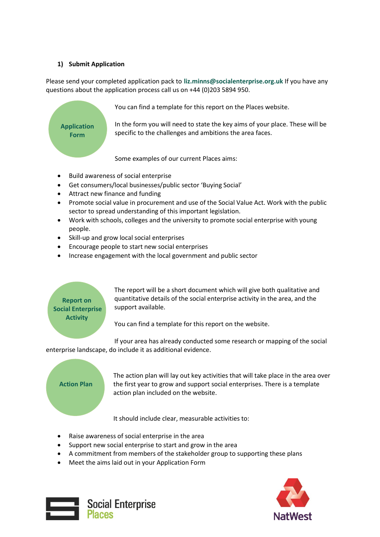#### **1) Submit Application**

Please send your completed application pack to **liz.minns@socialenterprise.org.uk** If you have any questions about the application process call us on +44 (0)203 5894 950.



You can find a template for this report on the Places website.

In the form you will need to state the key aims of your place. These will be specific to the challenges and ambitions the area faces.

Some examples of our current Places aims:

- Build awareness of social enterprise
- Get consumers/local businesses/public sector 'Buying Social'
- Attract new finance and funding
- Promote social value in procurement and use of the Social Value Act. Work with the public sector to spread understanding of this important legislation.
- Work with schools, colleges and the university to promote social enterprise with young people.
- Skill-up and grow local social enterprises
- Encourage people to start new social enterprises
- Increase engagement with the local government and public sector

## **Report on Social Enterprise Activity**

The report will be a short document which will give both qualitative and quantitative details of the social enterprise activity in the area, and the support available.

You can find a template for this report on the website.

If your area has already conducted some research or mapping of the social enterprise landscape, do include it as additional evidence.

### **Action Plan**

The action plan will lay out key activities that will take place in the area over the first year to grow and support social enterprises. There is a template action plan included on the website.

It should include clear, measurable activities to:

- Raise awareness of social enterprise in the area
- Support new social enterprise to start and grow in the area
- A commitment from members of the stakeholder group to supporting these plans
- Meet the aims laid out in your Application Form



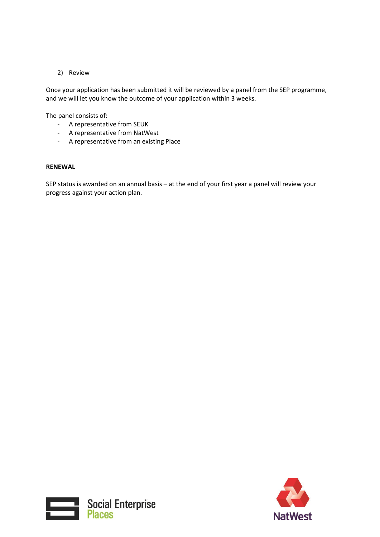#### 2) Review

Once your application has been submitted it will be reviewed by a panel from the SEP programme, and we will let you know the outcome of your application within 3 weeks.

The panel consists of:

- A representative from SEUK
- A representative from NatWest
- A representative from an existing Place

#### **RENEWAL**

SEP status is awarded on an annual basis – at the end of your first year a panel will review your progress against your action plan.



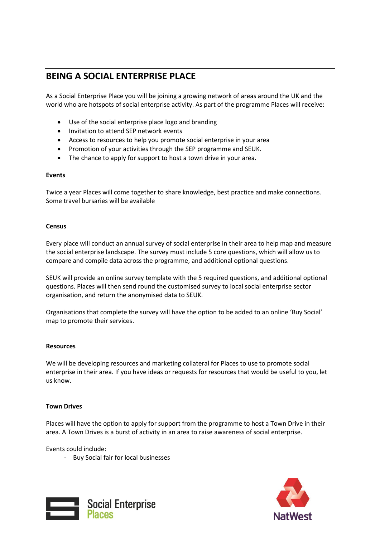# <span id="page-4-0"></span>**BEING A SOCIAL ENTERPRISE PLACE**

As a Social Enterprise Place you will be joining a growing network of areas around the UK and the world who are hotspots of social enterprise activity. As part of the programme Places will receive:

- Use of the social enterprise place logo and branding
- Invitation to attend SEP network events
- Access to resources to help you promote social enterprise in your area
- Promotion of your activities through the SEP programme and SEUK.
- The chance to apply for support to host a town drive in your area.

#### **Events**

Twice a year Places will come together to share knowledge, best practice and make connections. Some travel bursaries will be available

#### **Census**

Every place will conduct an annual survey of social enterprise in their area to help map and measure the social enterprise landscape. The survey must include 5 core questions, which will allow us to compare and compile data across the programme, and additional optional questions.

SEUK will provide an online survey template with the 5 required questions, and additional optional questions. Places will then send round the customised survey to local social enterprise sector organisation, and return the anonymised data to SEUK.

Organisations that complete the survey will have the option to be added to an online 'Buy Social' map to promote their services.

#### **Resources**

We will be developing resources and marketing collateral for Places to use to promote social enterprise in their area. If you have ideas or requests for resources that would be useful to you, let us know.

#### **Town Drives**

Places will have the option to apply for support from the programme to host a Town Drive in their area. A Town Drives is a burst of activity in an area to raise awareness of social enterprise.

Events could include:

- Buy Social fair for local businesses